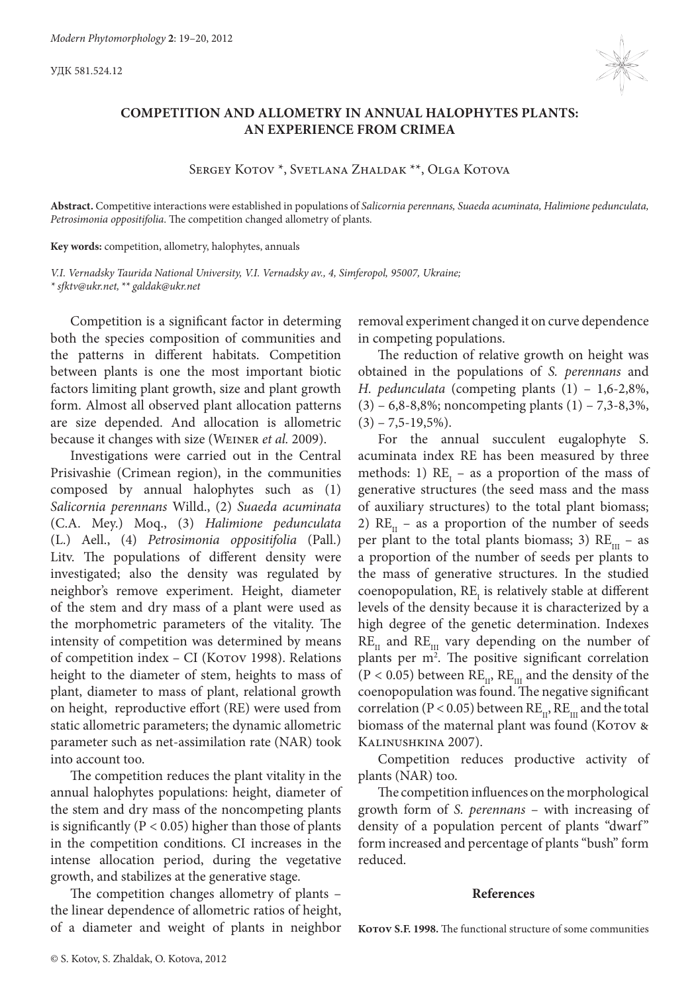УДК 581.524.12



## **COMPETITION AND ALLOMETRY IN ANNUAL HALOPHYTES PLANTS: AN EXPERIENCE FROM CRIMEA**

Sergey Kotov \*, Svetlana Zhaldak \*\*, Olga Kotova

**Abstract.** Competitive interactions were established in populations of *Salicornia perennans, Suaeda acuminata, Halimione pedunculata, Petrosimonia oppositifolia*. The competition changed allometry of plants.

**Key words:** competition, allometry, halophytes, annuals

*V.I. Vernadsky Taurida National University, V.I. Vernadsky av., 4, Simferopol, 95007, Ukraine; \* sfktv@ukr.net,\*\* galdak@ukr.net*

Competition is a significant factor in determing both the species composition of communities and the patterns in different habitats. Competition between plants is one the most important biotic factors limiting plant growth, size and plant growth form. Almost all observed plant allocation patterns are size depended. And allocation is allometric because it changes with size (Weiner *et al.* 2009).

Investigations were carried out in the Central Prisivashie (Crimean region), in the communities composed by annual halophytes such as (1) *Salicornia perennans* Willd., (2) *Suaeda acuminata* (C.A. Mey.) Moq., (3) *Halimione pedunculata* (L.) Aell., (4) *Petrosimonia oppositifolia* (Pall.) Litv. The populations of different density were investigated; also the density was regulated by neighbor's remove experiment. Height, diameter of the stem and dry mass of a plant were used as the morphometric parameters of the vitality. The intensity of competition was determined by means of competition index - CI (Korov 1998). Relations height to the diameter of stem, heights to mass of plant, diameter to mass of plant, relational growth on height, reproductive effort (RE) were used from static allometric parameters; the dynamic allometric parameter such as net-assimilation rate (NAR) took into account too.

The competition reduces the plant vitality in the annual halophytes populations: height, diameter of the stem and dry mass of the noncompeting plants is significantly ( $P < 0.05$ ) higher than those of plants in the competition conditions. CI increases in the intense allocation period, during the vegetative growth, and stabilizes at the generative stage.

The competition changes allometry of plants – the linear dependence of allometric ratios of height, of a diameter and weight of plants in neighbor removal experiment changed it on curve dependence in competing populations.

The reduction of relative growth on height was obtained in the populations of *S. perennans* and *H. pedunculata* (competing plants (1) – 1,6-2,8%,  $(3)$  – 6,8-8,8%; noncompeting plants  $(1)$  – 7,3-8,3%,  $(3) - 7,5 - 19,5%$ ).

For the annual succulent eugalophyte S. acuminata index RE has been measured by three methods: 1)  $RE_1$  – as a proportion of the mass of generative structures (the seed mass and the mass of auxiliary structures) to the total plant biomass; 2)  $RE_{II}$  – as a proportion of the number of seeds per plant to the total plants biomass; 3)  $RE_{\text{III}}$  – as a proportion of the number of seeds per plants to the mass of generative structures. In the studied coenopopulation,  $RE_{I}$  is relatively stable at different levels of the density because it is characterized by a high degree of the genetic determination. Indexes  $RE_{II}$  and  $RE_{III}$  vary depending on the number of plants per m<sup>2</sup>. The positive significant correlation  $(P < 0.05)$  between  $RE_{11}$ ,  $RE_{11}$  and the density of the coenopopulation was found. The negative significant correlation (P < 0.05) between  $RE_{11}$ ,  $RE_{11}$  and the total biomass of the maternal plant was found (Korov & Kalinushkina 2007).

Competition reduces productive activity of plants (NAR) too.

The competition influences on the morphological growth form of *S. perennans* – with increasing of density of a population percent of plants "dwarf" form increased and percentage of plants "bush" form reduced.

## **References**